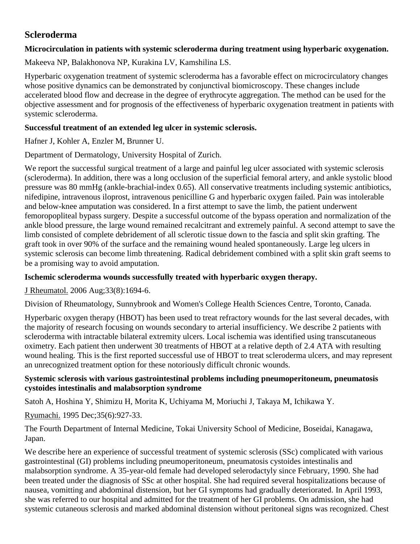# **Scleroderma**

# **Microcirculation in patients with systemic scleroderma during treatment using hyperbaric oxygenation.**

Makeeva NP, Balakhonova NP, Kurakina LV, Kamshilina LS.

Hyperbaric oxygenation treatment of systemic scleroderma has a favorable effect on microcirculatory changes whose positive dynamics can be demonstrated by conjunctival biomicroscopy. These changes include accelerated blood flow and decrease in the degree of erythrocyte aggregation. The method can be used for the objective assessment and for prognosis of the effectiveness of hyperbaric oxygenation treatment in patients with systemic scleroderma.

### **Successful treatment of an extended leg ulcer in systemic sclerosis.**

Hafner J, Kohler A, Enzler M, Brunner U.

Department of Dermatology, University Hospital of Zurich.

We report the successful surgical treatment of a large and painful leg ulcer associated with systemic sclerosis (scleroderma). In addition, there was a long occlusion of the superficial femoral artery, and ankle systolic blood pressure was 80 mmHg (ankle-brachial-index 0.65). All conservative treatments including systemic antibiotics, nifedipine, intravenous iloprost, intravenous penicilline G and hyperbaric oxygen failed. Pain was intolerable and below-knee amputation was considered. In a first attempt to save the limb, the patient underwent femoropopliteal bypass surgery. Despite a successful outcome of the bypass operation and normalization of the ankle blood pressure, the large wound remained recalcitrant and extremely painful. A second attempt to save the limb consisted of complete debridement of all sclerotic tissue down to the fascia and split skin grafting. The graft took in over 90% of the surface and the remaining wound healed spontaneously. Large leg ulcers in systemic sclerosis can become limb threatening. Radical debridement combined with a split skin graft seems to be a promising way to avoid amputation.

# **Ischemic scleroderma wounds successfully treated with hyperbaric oxygen therapy.**

[J Rheumatol.](javascript:AL_get(this,%20) 2006 Aug;33(8):1694-6.

Division of Rheumatology, Sunnybrook and Women's College Health Sciences Centre, Toronto, Canada.

Hyperbaric oxygen therapy (HBOT) has been used to treat refractory wounds for the last several decades, with the majority of research focusing on wounds secondary to arterial insufficiency. We describe 2 patients with scleroderma with intractable bilateral extremity ulcers. Local ischemia was identified using transcutaneous oximetry. Each patient then underwent 30 treatments of HBOT at a relative depth of 2.4 ATA with resulting wound healing. This is the first reported successful use of HBOT to treat scleroderma ulcers, and may represent an unrecognized treatment option for these notoriously difficult chronic wounds.

#### **Systemic sclerosis with various gastrointestinal problems including pneumoperitoneum, pneumatosis cystoides intestinalis and malabsorption syndrome**

[Satoh A,](http://www.ncbi.nlm.nih.gov/entrez/query.fcgi?db=pubmed&cmd=Search&itool=pubmed_AbstractPlus&term=%22Satoh+A%22%5BAuthor%5D) [Hoshina Y,](http://www.ncbi.nlm.nih.gov/entrez/query.fcgi?db=pubmed&cmd=Search&itool=pubmed_AbstractPlus&term=%22Hoshina+Y%22%5BAuthor%5D) [Shimizu H,](http://www.ncbi.nlm.nih.gov/entrez/query.fcgi?db=pubmed&cmd=Search&itool=pubmed_AbstractPlus&term=%22Shimizu+H%22%5BAuthor%5D) [Morita K,](http://www.ncbi.nlm.nih.gov/entrez/query.fcgi?db=pubmed&cmd=Search&itool=pubmed_AbstractPlus&term=%22Morita+K%22%5BAuthor%5D) [Uchiyama M,](http://www.ncbi.nlm.nih.gov/entrez/query.fcgi?db=pubmed&cmd=Search&itool=pubmed_AbstractPlus&term=%22Uchiyama+M%22%5BAuthor%5D) [Moriuchi J,](http://www.ncbi.nlm.nih.gov/entrez/query.fcgi?db=pubmed&cmd=Search&itool=pubmed_AbstractPlus&term=%22Moriuchi+J%22%5BAuthor%5D) [Takaya M,](http://www.ncbi.nlm.nih.gov/entrez/query.fcgi?db=pubmed&cmd=Search&itool=pubmed_AbstractPlus&term=%22Takaya+M%22%5BAuthor%5D) [Ichikawa Y.](http://www.ncbi.nlm.nih.gov/entrez/query.fcgi?db=pubmed&cmd=Search&itool=pubmed_AbstractPlus&term=%22Ichikawa+Y%22%5BAuthor%5D)

[Ryumachi.](javascript:AL_get(this,%20) 1995 Dec;35(6):927-33.

The Fourth Department of Internal Medicine, Tokai University School of Medicine, Boseidai, Kanagawa, Japan.

We describe here an experience of successful treatment of systemic sclerosis (SSc) complicated with various gastrointestinal (GI) problems including pneumoperitoneum, pneumatosis cystoides intestinalis and malabsorption syndrome. A 35-year-old female had developed selerodactyly since February, 1990. She had been treated under the diagnosis of SSc at other hospital. She had required several hospitalizations because of nausea, vomitting and abdominal distension, but her GI symptoms had gradually deteriorated. In April 1993, she was referred to our hospital and admitted for the treatment of her GI problems. On admission, she had systemic cutaneous sclerosis and marked abdominal distension without peritoneal signs was recognized. Chest